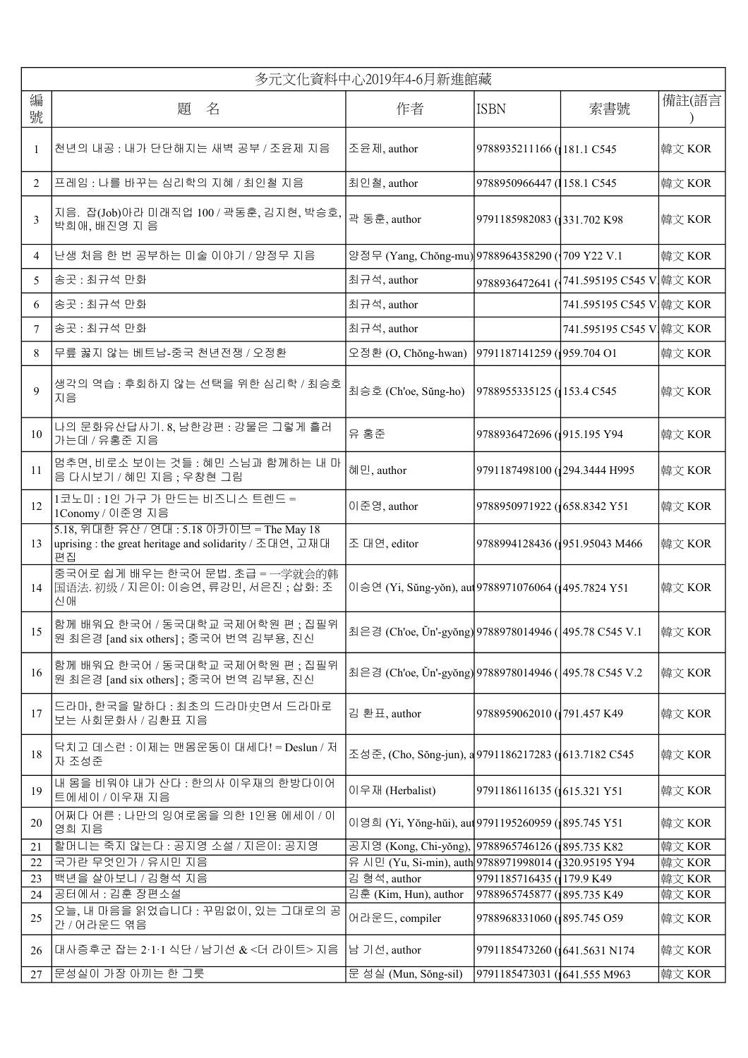|                | 多元文化資料中心2019年4-6月新進館藏                                                                                       |                                                        |                              |                               |        |
|----------------|-------------------------------------------------------------------------------------------------------------|--------------------------------------------------------|------------------------------|-------------------------------|--------|
| 編<br>號         | 題 名                                                                                                         | 作者                                                     | <b>ISBN</b>                  | 備註(語言<br>索書號                  |        |
| -1             | 천년의 내공 : 내가 단단해지는 새벽 공부 / 조윤제 지음                                                                            | 조윤제, author                                            | 9788935211166 (181.1 C545    |                               | 韓文 KOR |
| 2              | 프레임 : 나를 바꾸는 심리학의 지혜 / 최인철 지음                                                                               | 최인철, author                                            | 9788950966447 (158.1 C545)   |                               | 韓文 KOR |
| 3              | 지음. 잡(Job)아라 미래직업 100 / 곽동훈, 김지현, 박승호,<br>박희애, 배진영 지음                                                       | 곽 동훈, author                                           | 9791185982083 (331.702 K98)  |                               | 韓文 KOR |
| $\overline{4}$ | 난생 처음 한 번 공부하는 미술 이야기 / 양정무 지음                                                                              | 양정무 (Yang, Chŏng-mu) 9788964358290 (1709 Y22 V.1       |                              |                               | 韓文 KOR |
| 5              | 송곳: 최규석 만화                                                                                                  | 최규석, author                                            | 9788936472641 (              | 741.595195 C545 V 韓文 KOR      |        |
| 6              | 송곳 : 최규석 만화                                                                                                 | 최규석, author                                            |                              | 741.595195 C545 V 韓文 KOR      |        |
| 7              | 송곳: 최규석 만화                                                                                                  | 최규석, author                                            |                              | 741.595195 C545 V 韓文 KOR      |        |
| 8              | 무릎 꿇지 않는 베트남-중국 천년전쟁 / 오정환                                                                                  | 오정환 (O, Chŏng-hwan)                                    | 9791187141259 (959.704 O1    |                               | 韓文 KOR |
| 9              | 생각의 역습: 후회하지 않는 선택을 위한 심리학 / 최승호<br>지음                                                                      | 최승호 (Ch'oe, Sŭng-ho)                                   | 9788955335125 (153.4 C545)   |                               | 韓文 KOR |
| 10             | 나의 문화유산답사기. 8, 남한강편 : 강물은 그렇게 흘러<br>가는데 / 유홍준 지음                                                            | 유 홍준                                                   | 9788936472696 (1915.195 Y94  |                               | 韓文 KOR |
| 11             | 멈추면, 비로소 보이는 것들 : 혜민 스님과 함께하는 내 마<br>음 다시보기 / 혜민 지음 ; 우창현 그림                                                | 혜민, author                                             | 9791187498100 (294.3444 H995 |                               | 韓文 KOR |
| 12             | 1코노미 : 1인 가구 가 만드는 비즈니스 트렌드 =<br>1Conomy / 이준영 지음                                                           | 이준영, author                                            | 9788950971922 (1658.8342 Y51 |                               | 韓文 KOR |
| 13             | 5.18, 위대한 유산 / 연대 : 5.18 아카이브 = The May 18<br>uprising : the great heritage and solidarity / 조대연, 고재대<br>편집 | 조 대연, editor                                           |                              | 9788994128436 (951.95043 M466 | 韓文 KOR |
| 14             | 중국어로 쉽게 배우는 한국어 문법. 초급 = 一学就会的韩<br> 国语法. 初级 / 지은이: 이승연, 류강민, 서은진; 삽화: 조<br>신애                               | 이승연 (Yi, Sŭng-yŏn), au 9788971076064 (1495.7824 Y51    |                              |                               | 韓文 KOR |
| 15             | 함께 배워요 한국어 / 동국대학교 국제어학원 편 ; 집필위<br>원 최은경 [and six others] ; 중국어 번역 김부용, 진신                                 | 최은경 (Ch'oe, Ŭn'-gyŏng) 9788978014946 ( 495.78 C545 V.1 |                              |                               | 韓文 KOR |
| 16             | 함께 배워요 한국어 / 동국대학교 국제어학원 편 ; 집필위<br>원 최은경 [and six others] ; 중국어 번역 김부용, 진신                                 | 최은경 (Ch'oe, Ŭn'-gyŏng) 9788978014946 (495.78 C545 V.2  |                              |                               | 韓文 KOR |
| 17             | 드라마, 한국을 말하다 : 최초의 드라마史면서 드라마로<br>보는 사회문화사 / 김환표 지음                                                         | 김 환표, author                                           | 9788959062010 (791.457 K49   |                               | 韓文 KOR |
| 18             | 닥치고 데스런 : 이제는 맨몸운동이 대세다! = Deslun / 저<br>자 조성준                                                              | 조성준, (Cho, Sŏng-jun), a 9791186217283 (1613.7182 C545  |                              |                               | 韓文 KOR |
| 19             | 내 몸을 비워야 내가 산다 : 한의사 이우재의 한방다이어<br>트에세이 / 이우재 지음                                                            | 이우재 (Herbalist)                                        | 9791186116135 (615.321 Y51   |                               | 韓文 KOR |
| 20             | 어쩌다 어른 : 나만의 잉여로움을 의한 1인용 에세이 / 이<br>영희 지음                                                                  | 이영희 (Yi, Yŏng-hŭi), aut 9791195260959 (895.745 Y51     |                              |                               | 韓文 KOR |
| 21             | 할머니는 죽지 않는다 : 공지영 소설 / 지은이: 공지영                                                                             | 공지영 (Kong, Chi-yǒng), 9788965746126 (395.735 K82       |                              |                               | 韓文 KOR |
| 22             | 국가란 무엇인가 / 유시민 지음                                                                                           | 유 시민 (Yu, Si-min), auth 9788971998014 (320.95195 Y94   |                              |                               | 韓文 KOR |
| 23             | 백년을 살아보니 / 김형석 지음                                                                                           | 김 형석, author                                           | 9791185716435 (179.9 K49     |                               | 韓文 KOR |
| 24             | 공터에서 : 김훈 장편소설                                                                                              | 김훈 (Kim, Hun), author                                  | 9788965745877 (895.735 K49)  |                               | 韓文 KOR |
| 25             | 오늘, 내 마음을 읽었습니다 : 꾸밈없이, 있는 그대로의 공<br>간 / 어라운드 엮음                                                            | 어라운드, compiler                                         | 9788968331060 (395.745 O59   |                               | 韓文 KOR |
| 26             | 대사증후군 잡는 2·1·1 식단 / 남기선 & <더 라이트> 지음                                                                        | 남 기선, author                                           | 9791185473260 (641.5631 N174 |                               | 韓文 KOR |
| 27             | 문성실이 가장 아끼는 한 그릇                                                                                            | 문 성실 (Mun, Sŏng-sil)                                   | 9791185473031 (641.555 M963  |                               | 韓文 KOR |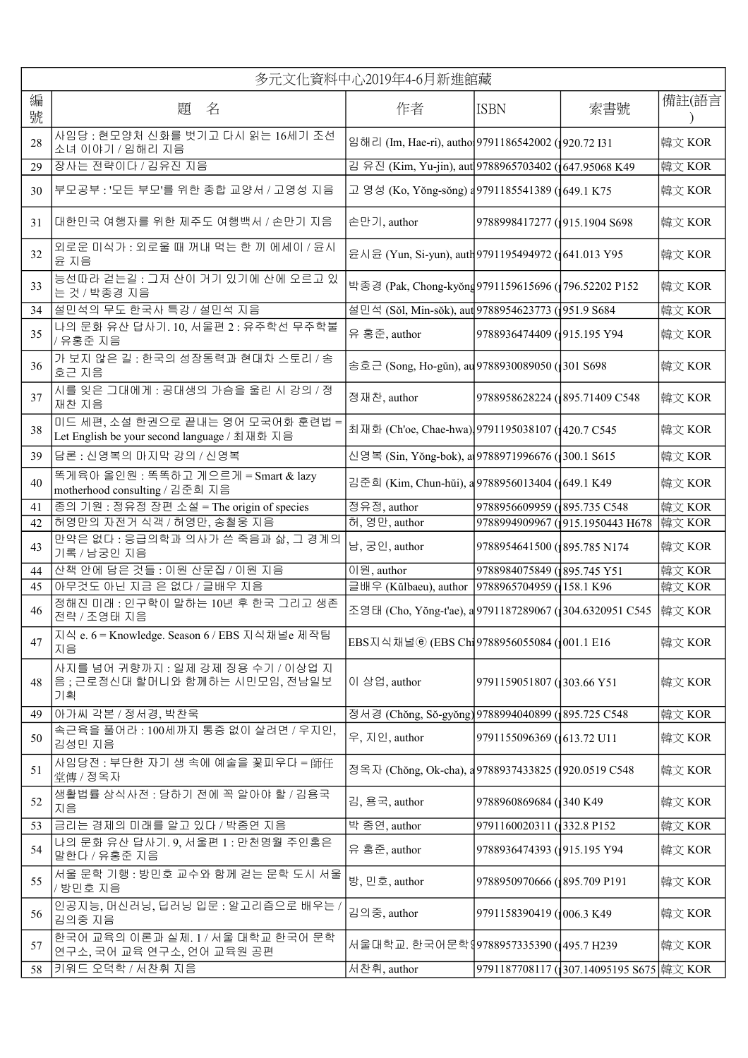|        | 多元文化資料中心2019年4-6月新進館藏                                                            |                                                         |                                                     |                                                    |        |
|--------|----------------------------------------------------------------------------------|---------------------------------------------------------|-----------------------------------------------------|----------------------------------------------------|--------|
| 編<br>號 | 題 名                                                                              | 作者                                                      | <b>ISBN</b>                                         | 索書號                                                | 備註(語言  |
| 28     | 사임당 : 현모양처 신화를 벗기고 다시 읽는 16세기 조선<br>소녀 이야기 / 임해리 지음                              |                                                         |                                                     | 임해리 (Im, Hae-ri), autho 9791186542002 (1920.72 I31 |        |
| 29     | 장사는 전략이다 / 김유진 지음                                                                | 김 유진 (Kim, Yu-jin), aut 9788965703402 (647.95068 K49    |                                                     |                                                    | 韓文 KOR |
| 30     | ┃부모공부 : '모든 부모'를 위한 종합 교양서 / 고영성 지음                                              | 고 영성 (Ko, Yŏng-sŏng) a 9791185541389 (1649.1 K75        |                                                     |                                                    | 韓文 KOR |
| 31     | 대한민국 여행자를 위한 제주도 여행백서 / 손만기 지음                                                   | 손만기, author                                             | 9788998417277 (1915.1904 S698                       |                                                    | 韓文 KOR |
| 32     | 외로운 미식가 : 외로울 때 꺼내 먹는 한 끼 에세이 / 윤시<br>윤 지음                                       |                                                         | 윤시윤 (Yun, Si-yun), auth 9791195494972 (1641.013 Y95 |                                                    | 韓文 KOR |
| 33     | 능선따라 걷는길 : 그저 산이 거기 있기에 산에 오르고 있<br>는 것 / 박종경 지음                                 | 박종경 (Pak, Chong-kyŏng 9791159615696 (1796.52202 P152    |                                                     |                                                    | 韓文 KOR |
| 34     | 설민석의 무도 한국사 특강 / 설민석 지음                                                          | 설민석 (Sŏl, Min-sŏk), aut 9788954623773 (1951.9 S684      |                                                     |                                                    | 韓文 KOR |
| 35     | 나의 문화 유산 답사기. 10, 서울편 2 : 유주학선 무주학불<br>/ 유홍준 지음                                  | 유 홍준, author                                            | 9788936474409 (1915.195 Y94                         |                                                    | 韓文 KOR |
| 36     | 가 보지 않은 길 : 한국의 성장동력과 현대차 스토리 / 송<br>호근 지음                                       | 송호근 (Song, Ho-gŭn), au 9788930089050 (301 S698          |                                                     |                                                    | 韓文 KOR |
| 37     | 시를 잊은 그대에게 : 공대생의 가슴을 울린 시 강의 / 정<br>재찬 지음                                       | 정재찬, author                                             | 9788958628224 (895.71409 C548)                      |                                                    | 韓文 KOR |
| 38     | 미드 세편, 소설 한권으로 끝내는 영어 모국어화 훈련법 =<br>Let English be your second language / 최재화 지음 |                                                         | 최재화 (Ch'oe, Chae-hwa) 9791195038107 (1420.7 C545    |                                                    | 韓文 KOR |
| 39     | 담론 : 신영복의 마지막 강의 / 신영복                                                           |                                                         | 신영복 (Sin, Yŏng-bok), a 9788971996676 (300.1 S615    |                                                    | 韓文 KOR |
| 40     | 똑게육아 올인원 : 똑똑하고 게으르게 = Smart & lazy<br>motherhood consulting / 김준희 지음            | 김준희 (Kim, Chun-hŭi), a 9788956013404 (1649.1 K49        |                                                     |                                                    | 韓文 KOR |
| 41     | 종의 기원 : 정유정 장편 소설 = The origin of species                                        | 정유정, author                                             | 9788956609959 (895.735 C548)                        |                                                    | 韓文 KOR |
| 42     | 허영만의 자전거 식객 / 허영만, 송철웅 지음                                                        | 허, 영만, author                                           | 9788994909967 (915.1950443 H678)                    |                                                    | 韓文 KOR |
| 43     | 만약은 없다 : 응급의학과 의사가 쓴 죽음과 삶, 그 경계의<br>기록 / 남궁인 지음                                 | 남, 궁인, author                                           | 9788954641500 (895.785 N174                         |                                                    | 韓文 KOR |
| 44     | 산책 안에 담은 것들 : 이원 산문집 / 이원 지음                                                     | 이원, author                                              | 9788984075849 (895.745 Y51                          |                                                    | 韓文 KOR |
| 45     | 아무것도 아닌 지금 은 없다 / 글배우 지음                                                         | 글배우 (Kŭlbaeu), author 9788965704959 (158.1 K96          |                                                     |                                                    | 韓文 KOR |
| 46     | 정해진 미래 : 인구학이 말하는 10년 후 한국 그리고 생존<br>전략 / 조영태 지음                                 | 조영태 (Cho, Yŏng-t'ae), a 9791187289067 (304.6320951 C545 |                                                     |                                                    | 韓文 KOR |
| 47     | 지식 e. 6 = Knowledge. Season 6 / EBS 지식채널e 제작팀<br>지음                              | EBS지식채널ⓒ (EBS Chi 9788956055084 (1001.1 E16             |                                                     |                                                    | 韓文 KOR |
| 48     | 사지를 넘어 귀향까지 : 일제 강제 징용 수기 / 이상업 지<br>음; 근로정신대 할머니와 함께하는 시민모임, 전남일보<br>기획         | 이 상업, author                                            | 9791159051807 (303.66 Y51                           |                                                    | 韓文 KOR |
| 49     | 아가씨 각본 / 정서경, 박찬욱                                                                | 정서경 (Chŏng, Sŏ-gyŏng) 9788994040899 (1895.725 C548      |                                                     |                                                    | 韓文 KOR |
| 50     | 속근육을 풀어라 : 100세까지 통증 없이 살려면 / 우지인,<br>김성민 지음                                     | 우, 지인, author                                           | 9791155096369 (613.72 U11                           |                                                    | 韓文 KOR |
| 51     | 사임당전 : 부단한 자기 생 속에 예술을 꽃피우다 = 師任<br>堂傳 / 정옥자                                     | 정옥자 (Chŏng, Ok-cha), a 9788937433825 (1920.0519 C548    |                                                     |                                                    | 韓文 KOR |
| 52     | 생활법률 상식사전 : 당하기 전에 꼭 알아야 할 / 김용국<br>지음                                           | 김, 용국, author                                           | 9788960869684 (1340 K49)                            |                                                    | 韓文 KOR |
| 53     | 금리는 경제의 미래를 알고 있다 / 박종연 지음                                                       | 박 종연, author                                            | 9791160020311 (332.8 P152                           |                                                    | 韓文 KOR |
| 54     | 나의 문화 유산 답사기. 9, 서울편 1 : 만천명월 주인홍은<br>말한다 / 유홍준 지음                               | 유 홍준, author                                            | 9788936474393 (1915.195 Y94                         |                                                    | 韓文 KOR |
| 55     | 서울 문학 기행 : 방민호 교수와 함께 걷는 문학 도시 서울<br>/ 방민호 지음                                    | 방, 민호, author                                           | 9788950970666 (895.709 P191                         |                                                    | 韓文 KOR |
| 56     | 인공지능, 머신러닝, 딥러닝 입문 : 알고리즘으로 배우는 /<br>김의중 지음                                      | 김의중, author                                             | 9791158390419 (1006.3 K49)                          |                                                    | 韓文 KOR |
| 57     | 한국어 교육의 이론과 실제. 1 / 서울 대학교 한국어 문학<br>연구소, 국어 교육 연구소, 언어 교육원 공편                   | 서울대학교. 한국어문학(9788957335390 (1495.7 H239                 |                                                     |                                                    | 韓文 KOR |
| 58     | 키워드 오덕학 / 서찬휘 지음                                                                 | 서찬휘, author                                             |                                                     | 9791187708117 (307.14095195 S675 韓文 KOR            |        |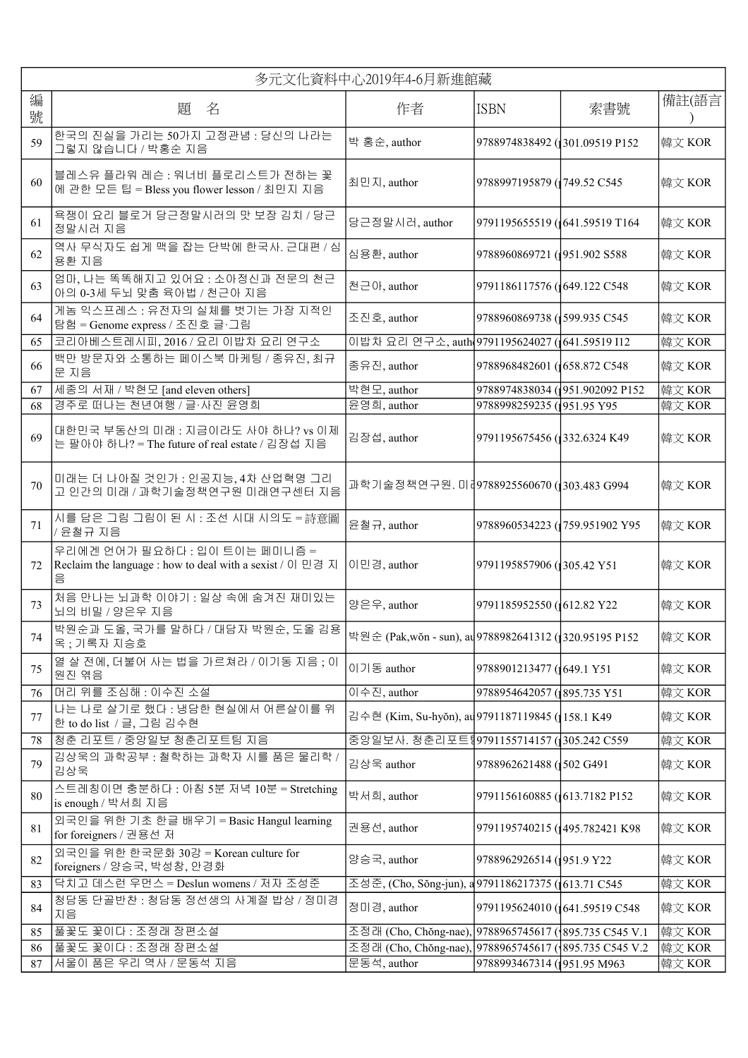|        | 多元文化資料中心2019年4-6月新進館藏                                                                           |                                                        |                                 |                                |        |
|--------|-------------------------------------------------------------------------------------------------|--------------------------------------------------------|---------------------------------|--------------------------------|--------|
| 編<br>號 | 題 名                                                                                             | 作者                                                     | ISBN                            | 索書號                            | 備註(語言  |
| 59     | 한국의 진실을 가리는 50가지 고정관념 : 당신의 나라는<br>그렇지 않습니다 / 박홍순 지음                                            | 박 홍순, author                                           | 9788974838492 (301.09519 P152   |                                | 韓文 KOR |
| 60     | 블레스유 플라워 레슨 : 워너비 플로리스트가 전하는 꽃<br>에 관한 모든 팁 = Bless you flower lesson / 최민지 지음                  | 최민지, author                                            | 9788997195879 (749.52 C545      |                                | 韓文 KOR |
| 61     | 욕쟁이 요리 블로거 당근정말시러의 맛 보장 김치 / 당근<br>정말시러 지음                                                      | 당근정말시러, author                                         | 9791195655519 (641.59519 T164   |                                | 韓文 KOR |
| 62     | 역사 무식자도 쉽게 맥을 잡는 단박에 한국사. 근대편 / 심<br>용환 지음                                                      | 심용환, author                                            | 9788960869721 (1951.902 S588    |                                | 韓文 KOR |
| 63     | 엄마, 나는 똑똑해지고 있어요 : 소아정신과 전문의 천근<br>아의 0-3세 두뇌 맞춤 육아법 / 천근아 지음                                   | 천근아, author                                            | 9791186117576 (649.122 C548)    |                                | 韓文 KOR |
| 64     | 게놈 익스프레스 : 유전자의 실체를 벗기는 가장 지적인<br>탐험 = Genome express / 조진호 글·그림                                | 조진호, author                                            | 9788960869738 (399.935 C545     |                                | 韓文 KOR |
| 65     | 코리아베스트레시피, 2016 / 요리 이밥차 요리 연구소                                                                 | 이밥차 요리 연구소, auth 9791195624027 (641.59519 I12          |                                 |                                | 韓文 KOR |
| 66     | 백만 방문자와 소통하는 페이스북 마케팅 / 종유진, 최규<br>문 지음                                                         | 종유진, author                                            | 9788968482601 (1658.872 C548)   |                                | 韓文 KOR |
| 67     | 세종의 서재 / 박현모 [and eleven others]                                                                | 박현모, author                                            |                                 | 9788974838034 (951.902092 P152 | 韓文 KOR |
| 68     | 경주로 떠나는 천년여행 / 글·사진 윤영희                                                                         | 윤영희, author                                            | 9788998259235 (1951.95 Y95)     |                                | 韓文 KOR |
| 69     | 대한민국 부동산의 미래 : 지금이라도 사야 하나? vs 이제<br>는 팔아야 하나? = The future of real estate / 김장섭 지음             | 김장섭, author                                            | 9791195675456 (332.6324 K49)    |                                | 韓文 KOR |
| 70     | 미래는 더 나아질 것인가 : 인공지능, 4차 산업혁명 그리<br>고 인간의 미래 / 과학기술정책연구원 미래연구센터 지음                              | 과학기술정책연구원. 미[9788925560670 (203.483 G994               |                                 |                                | 韓文 KOR |
| 71     | 시를 담은 그림 그림이 된 시 : 조선 시대 시의도 = 詩意圖<br>/ 윤철규 지음                                                  | 윤철규, author                                            | 9788960534223 (1759.951902 Y95  |                                | 韓文 KOR |
| 72     | 우리에겐 언어가 필요하다 : 입이 트이는 페미니즘 =<br>Reclaim the language : how to deal with a sexist / 이 민경 지<br>음 | 이민경, author                                            | 9791195857906 (305.42 Y51       |                                | 韓文 KOR |
| 73     | 처음 만나는 뇌과학 이야기 : 일상 속에 숨겨진 재미있는<br>뇌의 비밀 / 양은우 지음                                               | 양은우, author                                            | 9791185952550 (612.82 Y22       |                                | 韓文 KOR |
| 74     | 박원순과 도올, 국가를 말하다 / 대담자 박원순, 도올 김용<br>옥 ; 기록자 지승호                                                | 박원순 (Pak,wŏn - sun), au 9788982641312 (1320.95195 P152 |                                 |                                | 韓文 KOR |
| 75     | 열살 전에, 더불어 사는 법을 가르쳐라 / 이기동 지음 ; 이<br>원진 엮음                                                     | 이기동 author                                             | 9788901213477 (649.1 Y51        |                                | 韓文 KOR |
| 76     | 머리 위를 조심해 : 이수진 소설                                                                              | 이수진, author                                            | 9788954642057 (1895.735 Y51     |                                | 韓文 KOR |
| 77     | 나는 나로 살기로 했다 : 냉담한 현실에서 어른살이를 위<br>한 to do list / 글, 그림 김수현                                     | 김수현 (Kim, Su-hyŏn), au 9791187119845 (158.1 K49        |                                 |                                | 韓文 KOR |
| 78     | 청춘 리포트 / 중앙일보 청춘리포트팀 지음                                                                         | 중앙일보사. 청춘리포트╣9791155714157 (1305.242 C559              |                                 |                                | 韓文 KOR |
| 79     | 김상욱의 과학공부 : 철학하는 과학자 시를 품은 물리학 /<br>김상욱                                                         | 김상욱 author                                             | 9788962621488 (502 G491         |                                | 韓文 KOR |
| 80     | 스트레칭이면 충분하다 : 아침 5분 저녁 10분 = Stretching<br>is enough / 박서희 지음                                   | 박서희, author                                            | 9791156160885 (613.7182 P152    |                                | 韓文 KOR |
| 81     | 외국인을 위한 기초 한글 배우기 = Basic Hangul learning<br>for foreigners / 권용선 저                             | 권용선, author                                            | 9791195740215 (1495.782421 K98) |                                | 韓文 KOR |
| 82     | 외국인을 위한 한국문화 30강 = Korean culture for<br>foreigners / 양승국, 박성창, 안경화                             | 양승국, author                                            | 9788962926514 (1951.9 Y22       |                                | 韓文 KOR |
| 83     | 닥치고 데스런 우먼스 = Deslun womens / 저자 조성준                                                            | 조성준, (Cho, Sŏng-jun), a 9791186217375 (1613.71 C545    |                                 |                                | 韓文 KOR |
| 84     | 청담동 단골반찬 : 청담동 정선생의 사계절 밥상 / 정미경<br>지음                                                          | 정미경, author                                            | 9791195624010 (641.59519 C548   |                                | 韓文 KOR |
| 85     | 풀꽃도 꽃이다 : 조정래 장편소설                                                                              | 조정래 (Cho, Chŏng-nae), 9788965745617 (1895.735 C545 V.1 |                                 |                                | 韓文 KOR |
| 86     | 풀꽃도 꽃이다 : 조정래 장편소설                                                                              | 조정래 (Cho, Chŏng-nae), 9788965745617 (895.735 C545 V.2  |                                 |                                | 韓文 KOR |
| 87     | 서울이 품은 우리 역사 / 문동석 지음                                                                           | 문동석, author                                            | 9788993467314 (1951.95 M963     |                                | 韓文 KOR |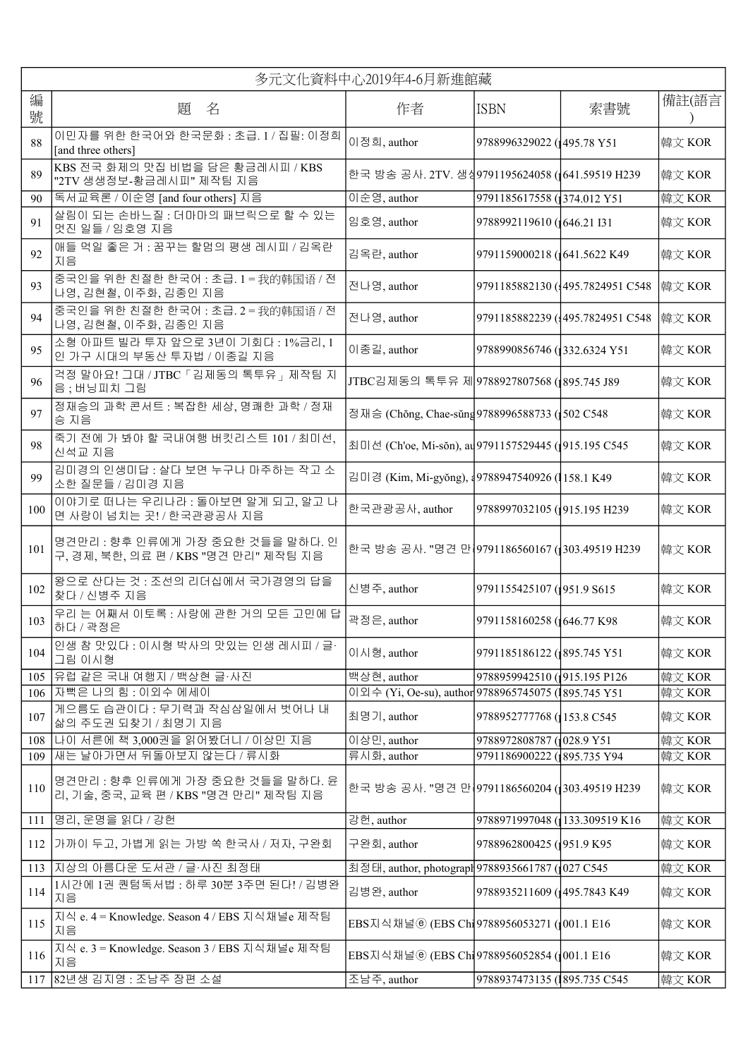|        | 多元文化資料中心2019年4-6月新進館藏                                                    |                                                      |                                                 |                                  |        |
|--------|--------------------------------------------------------------------------|------------------------------------------------------|-------------------------------------------------|----------------------------------|--------|
| 編<br>號 | 題<br>名                                                                   | 作者                                                   | ISBN                                            | 索書號                              | 備註(語言  |
| 88     | 이민자를 위한 한국어와 한국문화 : 초급. 1 / 집필: 이정희<br>[and three others]                | 이정희, author                                          | 9788996329022 (1495.78 Y51                      |                                  | 韓文 KOR |
| 89     | KBS 전국 화제의 맛집 비법을 담은 황금레시피 / KBS<br>"2TV 생생정보-황금레시피" 제작팀 지음              | 한국 방송 공사. 2TV. 생상9791195624058 (1641.59519 H239      |                                                 |                                  | 韓文 KOR |
| 90     | 독서교육론 / 이순영 [and four others] 지음                                         | 이순영, author<br>9791185617558 (374.012 Y51            |                                                 |                                  | 韓文 KOR |
| 91     | 살림이 되는 손바느질 : 더마마의 패브릭으로 할 수 있는<br>멋진 일들 / 임호영 지음                        | 임호영, author                                          | 9788992119610 (646.21 I31                       |                                  | 韓文 KOR |
| 92     | 애들 먹일 좋은 거 : 꿈꾸는 할멈의 평생 레시피 / 김옥란<br>지음                                  | 김옥란, author                                          | 9791159000218 (641.5622 K49)                    |                                  | 韓文 KOR |
| 93     | 중국인을 위한 친절한 한국어 : 초급. 1 = 我的韩国语 / 전<br>나영, 김현철, 이주화, 김종인 지음              | 전나영, author                                          |                                                 | 9791185882130 (495.7824951 C548) | 韓文 KOR |
| 94     | 중국인을 위한 친절한 한국어 : 초급. 2 = 我的韩国语 / 전<br>나영,김현철,이주화,김종인 지음                 | 전나영, author                                          |                                                 | 9791185882239 (495.7824951 C548  | 韓文 KOR |
| 95     | 소형 아파트 빌라 투자 앞으로 3년이 기회다 : 1%금리, 1<br>인 가구 시대의 부동산 투자법 / 이종길 지음          | 이종길, author                                          | 9788990856746 (332.6324 Y51                     |                                  | 韓文 KOR |
| 96     | 걱정 말아요! 그대 / JTBC 「김제동의 톡투유」제작팀 지<br>음; 버닝피치 그림                          | JTBC김제동의 톡투유 제9788927807568 (1895.745 J89            |                                                 |                                  | 韓文 KOR |
| 97     | 정재승의 과학 콘서트 : 복잡한 세상, 명쾌한 과학 / 정재<br>승 지음                                | 정재승 (Chŏng, Chae-sŭng 9788996588733 (502 C548        |                                                 |                                  | 韓文 KOR |
| 98     | 죽기 전에 가 봐야 할 국내여행 버킷리스트 101 / 최미선,<br>신석교 지음                             | 최미선 (Ch'oe, Mi-sŏn), au 9791157529445 (1915.195 C545 |                                                 |                                  | 韓文 KOR |
| 99     | 김미경의 인생미답 : 살다 보면 누구나 마주하는 작고 소<br>소한 질문들 / 김미경 지음                       |                                                      | 김미경 (Kim, Mi-gyŏng), 49788947540926 (1158.1 K49 |                                  | 韓文 KOR |
| 100    | 이야기로 떠나는 우리나라 : 돌아보면 알게 되고, 알고 나<br>면 사랑이 넘치는 곳! / 한국관광공사 지음             | 한국관광공사, author                                       | 9788997032105 (1915.195 H239)                   |                                  | 韓文 KOR |
| 101    | 명견만리 : 향후 인류에게 가장 중요한 것들을 말하다. 인<br>구, 경제, 북한, 의료 편 / KBS "명견 만리" 제작팀 지음 | 한국 방송 공사. "명견 만 9791186560167 (303.49519 H239        |                                                 |                                  | 韓文 KOR |
| 102    | 왕으로 산다는 것 : 조선의 리더십에서 국가경영의 답을<br>찾다 / 신병주 지음                            | 신병주, author                                          | 9791155425107 (1951.9 S615                      |                                  | 韓文 KOR |
| 103    | 우리 는 어째서 이토록 : 사랑에 관한 거의 모든 고민에 답<br>하다 / 곽정은                            | 곽정은, author                                          | 9791158160258 (646.77 K98)                      |                                  | 韓文 KOR |
| 104    | 인생 참 맛있다 : 이시형 박사의 맛있는 인생 레시피 / 글·<br>그림 이시형                             | 이시형, author                                          | 9791185186122 (1895.745 Y51                     |                                  | 韓文 KOR |
| 105    | 유럽 같은 국내 여행지 / 백상현 글·사진                                                  | 백상현, author                                          | 9788959942510 (1915.195 P126                    |                                  | 韓文 KOR |
| 106    | 자뻑은 나의 힘 : 이외수 에세이                                                       | 이외수 (Yi, Oe-su), author 9788965745075 (1895.745 Y51  |                                                 |                                  | 韓文 KOR |
| 107    | 게으름도 습관이다 : 무기력과 작심삼일에서 벗어나 내<br>삶의 주도권 되찾기 / 최명기 지음                     | 최명기, author                                          | 9788952777768 (153.8 C545                       |                                  | 韓文 KOR |
| 108    | ┃나이 서른에 책 3,000권을 읽어봤더니 / 이상민 지음                                         | 이상민, author                                          | 9788972808787 (1028.9 Y51                       |                                  | 韓文 KOR |
| 109    | 새는 날아가면서 뒤돌아보지 않는다 / 류시화                                                 | 류시화, author                                          | 9791186900222 (1895.735 Y94                     |                                  | 韓文 KOR |
| 110    | 명견만리 : 향후 인류에게 가장 중요한 것들을 말하다. 윤<br>리, 기술, 중국, 교육 편 / KBS "명견 만리" 제작팀 지음 | 한국 방송 공사. "명견 만 9791186560204 (303.49519 H239        |                                                 |                                  | 韓文 KOR |
| 111    | 명리, 운명을 읽다 / 강헌                                                          | 강헌, author                                           | 9788971997048 (133.309519 K16                   |                                  | 韓文 KOR |
| 112    | 가까이 두고, 가볍게 읽는 가방 쏙 한국사 / 저자, 구완회                                        | 구완회, author                                          | 9788962800425 (1951.9 K95)                      |                                  | 韓文 KOR |
| 113    | 지상의 아름다운 도서관 / 글·사진 최정태                                                  | 최정태, author, photograpl 9788935661787 (1027 C545     |                                                 |                                  | 韓文 KOR |
| 114    | 1시간에 1권 퀀텀독서법 : 하루 30분 3주면 된다! / 김병완<br>지음                               | 김병완, author                                          | 9788935211609 (1495.7843 K49)                   |                                  | 韓文 KOR |
| 115    | 지식 e. 4 = Knowledge. Season 4 / EBS 지식채널e 제작팀<br>지음                      | EBS지식채널ⓒ (EBS Ch19788956053271 (1001.1 E16           |                                                 |                                  | 韓文 KOR |
| 116    | 지식 e. 3 = Knowledge. Season 3 / EBS 지식채널e 제작팀<br>지음                      | EBS지식채널ⓒ (EBS Chi 9788956052854 (1001.1 E16          |                                                 |                                  | 韓文 KOR |
| 117    | 82년생 김지영 : 조남주 장편 소설                                                     | 조남주, author                                          | 9788937473135 (1895.735 C545)                   |                                  | 韓文 KOR |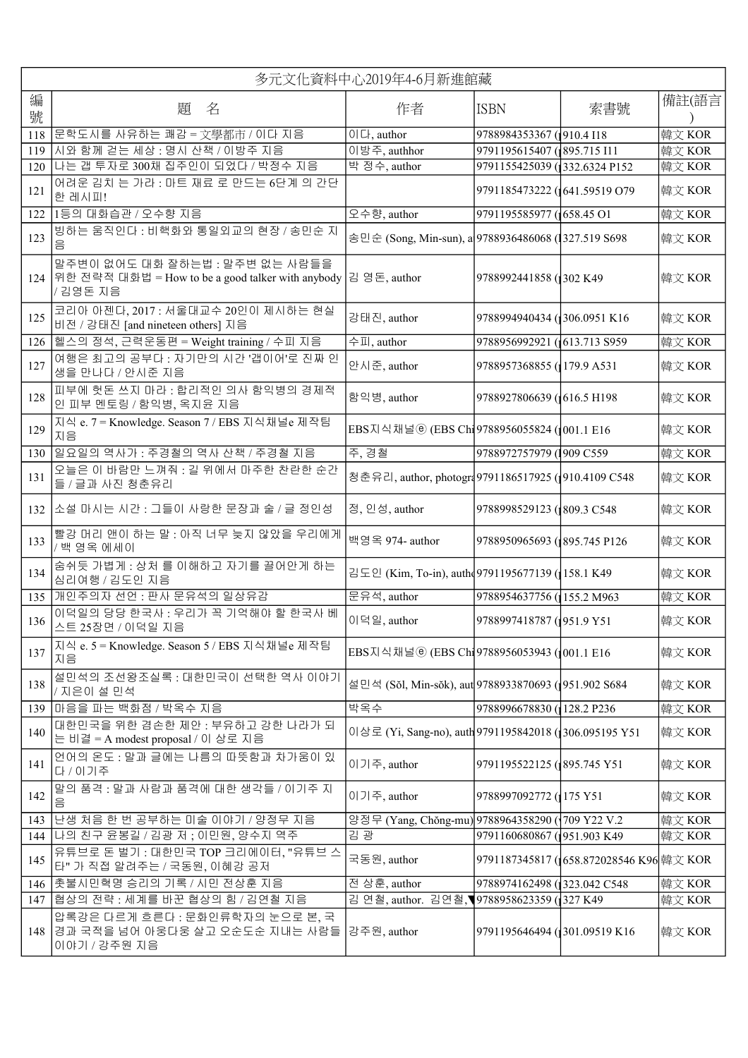| 多元文化資料中心2019年4-6月新進館藏 |                                                                                                    |                                                       |                              |                                         |        |
|-----------------------|----------------------------------------------------------------------------------------------------|-------------------------------------------------------|------------------------------|-----------------------------------------|--------|
| 編<br>號                | 題<br>名                                                                                             | 作者                                                    | <b>ISBN</b>                  | 索書號                                     | 備註(語言  |
| 118                   | 문학도시를 사유하는 쾌감 = 文學都市 / 이다 지음                                                                       | $0 C $ , author                                       | 9788984353367 (1910.4 I18    |                                         | 韓文 KOR |
| 119                   | 시와 함께 걷는 세상 : 명시 산책 / 이방주 지음                                                                       | 이방주, authhor                                          | 9791195615407 (1895.715 I11  |                                         | 韓文 KOR |
| 120                   | 나는 갭 투자로 300채 집주인이 되었다 / 박정수 지음<br>어려운 김치 는 가라 : 마트 재료 로 만드는 6단계 의 간단                              | 박 정수, author                                          | 9791155425039 (332.6324 P152 |                                         | 韓文 KOR |
| 121                   | 한 레시피!                                                                                             |                                                       | 9791185473222 (641.59519 O79 |                                         | 韓文 KOR |
| 122                   | 1등의 대화습관 / 오수향 지음                                                                                  | 오수향, author                                           | 9791195585977 (658.45 O1     |                                         | 韓文 KOR |
| 123                   | 빙하는 움직인다 : 비핵화와 통일외교의 현장 / 송민순 지<br>음                                                              | 송민순 (Song, Min-sun), a 9788936486068 (1327.519 S698   |                              |                                         | 韓文 KOR |
|                       | 말주변이 없어도 대화 잘하는법 : 말주변 없는 사람들을<br>124 위한 전략적 대화법 = How to be a good talker with anybody<br>/김영돈 지음 | 김 영돈, author                                          | 9788992441858 (302 K49       |                                         | 韓文 KOR |
| 125                   | 코리아 아젠다, 2017 : 서울대교수 20인이 제시하는 현실<br>비전 / 강태진 [and nineteen others] 지음                            | 강태진, author                                           | 9788994940434 (306.0951 K16  |                                         | 韓文 KOR |
| 126                   | 헬스의 정석, 근력운동편 = Weight training / 수피 지음                                                            | 수피, author                                            | 9788956992921 (613.713 \$959 |                                         | 韓文 KOR |
| 127                   | 여행은 최고의 공부다 : 자기만의 시간 '갭이어'로 진짜 인<br>생을 만나다 / 안시준 지음                                               | 안시준, author                                           | 9788957368855 (179.9 A531    |                                         | 韓文 KOR |
| 128                   | 피부에 헛돈 쓰지 마라 : 합리적인 의사 함익병의 경제적<br>인 피부 멘토링 / 함익병, 옥지윤 지음                                          | 함익병, author                                           | 9788927806639 (616.5 H198)   |                                         | 韓文 KOR |
| 129                   | 지식 e. 7 = Knowledge. Season 7 / EBS 지식채널e 제작팀<br>지음                                                | EBS지식채널ⓒ (EBS Chi 9788956055824 (1001.1 E16           |                              |                                         | 韓文 KOR |
|                       | 130 일요일의 역사가 : 주경철의 역사 산책 / 주경철 지음                                                                 | 주,경철                                                  | 9788972757979 (1909 C559     |                                         | 韓文 KOR |
| 131                   | 오늘은 이 바람만 느껴줘 : 길 위에서 마주한 찬란한 순간<br>들 / 글과 사진 청춘유리                                                 | 청춘유리, author, photogr49791186517925 (1910.4109 C548   |                              |                                         | 韓文 KOR |
| 132                   | 소설 마시는 시간 : 그들이 사랑한 문장과 술 / 글 정인성                                                                  | 정, 인성, author                                         | 9788998529123 (809.3 C548    |                                         | 韓文 KOR |
| 133                   | 빨강 머리 앤이 하는 말 : 아직 너무 늦지 않았을 우리에게<br>/ 백 영옥 에세이                                                    | 백영옥 974- author                                       | 9788950965693 (895.745 P126  |                                         | 韓文 KOR |
| 134                   | 숨쉬듯 가볍게 : 상처 를 이해하고 자기를 끌어안게 하는<br>심리여행 / 김도인 지음                                                   | 김도인 (Kim, To-in), auth 49791195677139 (158.1 K49      |                              |                                         | 韓文 KOR |
|                       | 135 개인주의자 선언 : 판사 문유석의 일상유감                                                                        | 문유석, author                                           | 9788954637756 (155.2 M963    |                                         | 韓文 KOR |
| 136                   | 이덕일의 당당 한국사 : 우리가 꼭 기억해야 할 한국사 베<br>스트 25장면 / 이덕일 지음                                               | 이덕일, author                                           | 9788997418787 (1951.9 Y51    |                                         | 韓文 KOR |
| 137                   | 지식 e. 5 = Knowledge. Season 5 / EBS 지식채널e 제작팀<br>지음                                                | EBS지식채널ⓒ (EBS Chi 9788956053943 (1001.1 E16           |                              |                                         | 韓文 KOR |
| 138                   | 설민석의 조선왕조실록 : 대한민국이 선택한 역사 이야기<br>/ 지은이 설 민석                                                       | 설민석 (Sŏl, Min-sŏk), aut 9788933870693 (1951.902 S684  |                              |                                         | 韓文 KOR |
| 139                   | 마음을 파는 백화점 / 박옥수 지음                                                                                | 박옥수                                                   | 9788996678830 (128.2 P236    |                                         | 韓文 KOR |
| 140                   | 대한민국을 위한 겸손한 제안 : 부유하고 강한 나라가 되<br>는 비결 = A modest proposal / 이 상로 지음                              | 이상로 (Yi, Sang-no), auth 9791195842018 (306.095195 Y51 |                              |                                         | 韓文 KOR |
| 141                   | 언어의 온도 : 말과 글에는 나름의 따뜻함과 차가움이 있<br>다 / 이기주                                                         | 이기주, author                                           | 9791195522125 (1895.745 Y51) |                                         | 韓文 KOR |
| 142                   | 말의 품격 : 말과 사람과 품격에 대한 생각들 / 이기주 지<br>$\cong$                                                       | 이기주, author                                           | 9788997092772 (175 Y51       |                                         | 韓文 KOR |
| 143                   | 난생 처음 한 번 공부하는 미술 이야기 / 양정무 지음                                                                     | 양정무 (Yang, Chŏng-mu) 9788964358290 (1709 Y22 V.2      |                              |                                         | 韓文 KOR |
| 144                   | 나의 친구 윤봉길 / 김광 저 ; 이민원, 양수지 역주                                                                     | 김 광                                                   | 9791160680867 (951.903 K49)  |                                         | 韓文 KOR |
| 145                   | 유튜브로 돈 벌기 : 대한민국 TOP 크리에이터, "유튜브 스<br>타" 가 직접 알려주는 / 국동원, 이혜강 공저                                   | 국동원, author                                           |                              | 9791187345817 (658.872028546 K96 韓文 KOR |        |
| 146                   | │촛불시민혁명 승리의 기록 / 시민 전상훈 지음                                                                         | 전 상훈, author                                          | 9788974162498 (323.042 C548  |                                         | 韓文 KOR |
| 147                   | 협상의 전략 : 세계를 바꾼 협상의 힘 / 김연철 지음                                                                     | 김 연철, author. 김연철, 9788958623359 (327 K49             |                              |                                         | 韓文 KOR |
| 148                   | 압록강은 다르게 흐른다 : 문화인류학자의 눈으로 본, 국<br>경과 국적을 넘어 아웅다웅 살고 오순도순 지내는 사람들<br>이야기 / 강주원 지음                  | 강주원, author                                           | 9791195646494 (301.09519 K16 |                                         | 韓文 KOR |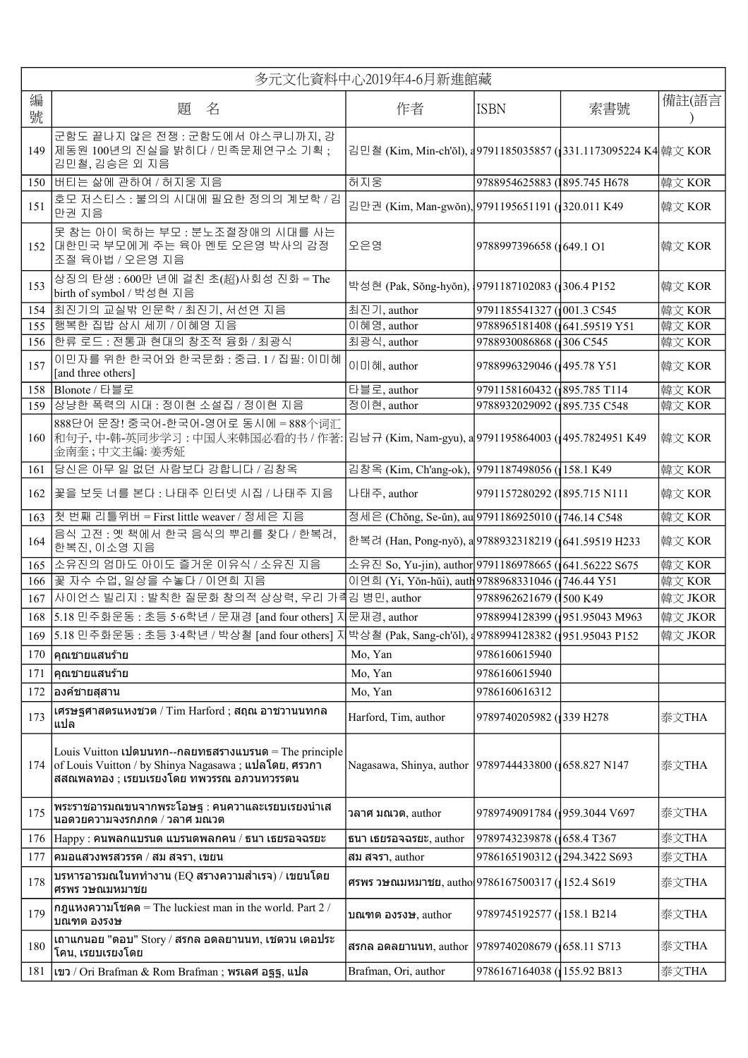|        | 多元文化資料中心2019年4-6月新進館藏                                                                                                                                       |                                                                                              |                                |     |         |
|--------|-------------------------------------------------------------------------------------------------------------------------------------------------------------|----------------------------------------------------------------------------------------------|--------------------------------|-----|---------|
| 編<br>號 | 題 名                                                                                                                                                         | 作者                                                                                           | <b>ISBN</b>                    | 索書號 | 備註(語言   |
| 149    | 군함도 끝나지 않은 전쟁 : 군함도에서 야스쿠니까지, 강<br>제동원 100년의 진실을 밝히다 / 민족문제연구소 기획 ;<br>김민철, 김승은 외 지음                                                                        | 김민철 (Kim, Min-ch'ŏl), a 9791185035857 (1331.1173095224 K4 韓文 KOR                             |                                |     |         |
|        | 150 버티는 삶에 관하여 / 허지웅 지음                                                                                                                                     | 허지웅                                                                                          | 9788954625883 (1895.745 H678   |     | 韓文 KOR  |
| 151    | 호모 저스티스 : 불의의 시대에 필요한 정의의 계보학 / 김<br>만권 지음                                                                                                                  | 김만권 (Kim, Man-gwŏn), 9791195651191 (320.011 K49                                              |                                |     | 韓文 KOR  |
| 152    | 못 참는 아이 욱하는 부모 : 분노조절장애의 시대를 사는<br> 대한민국 부모에게 주는 육아 멘토 오은영 박사의 감정<br>조절 육아법 / 오은영 지음                                                                        | 오은영                                                                                          | 9788997396658 (1649.1 O1       |     | 韓文 KOR  |
| 153    | 상징의 탄생 : 600만 년에 걸친 초(超)사회성 진화 = The<br>birth of symbol / 박성현 지음                                                                                            | 박성현 (Pak, Sŏng-hyŏn), {9791187102083 ({306.4 P152                                            |                                |     | 韓文 KOR  |
| 154    | 최진기의 교실밖 인문학 / 최진기, 서선연 지음                                                                                                                                  | 최진기, author                                                                                  | 9791185541327 (001.3 C545      |     | 韓文 KOR  |
| 155    | 행복한 집밥 삼시 세끼 / 이혜영 지음                                                                                                                                       | 이혜영, author                                                                                  | 9788965181408 (641.59519 Y51   |     | 韓文 KOR  |
| 156    | 한류 로드 : 전통과 현대의 창조적 융화 / 최광식                                                                                                                                | 최광식, author                                                                                  | 9788930086868 (306 C545        |     | 韓文 KOR  |
| 157    | 이민자를 위한 한국어와 한국문화 : 중급. 1 / 집필: 이미혜<br>[and three others]                                                                                                   | 이미혜, author                                                                                  | 9788996329046 (1495.78 Y51     |     | 韓文 KOR  |
| 158    | Blonote / 타블로                                                                                                                                               | 타블로, author                                                                                  | 9791158160432 (1895.785 T114   |     | 韓文 KOR  |
| 159    | 상냥한 폭력의 시대 : 정이현 소설집 / 정이현 지음                                                                                                                               | 정이현, author                                                                                  | 9788932029092 (895.735 C548    |     | 韓文 KOR  |
|        | 888단어 문장! 중국어-한국어-영어로 동시에 = 888个词汇<br>金南奎;中文主編:姜秀姃                                                                                                          | 160  和句子, 中-韩-英同步学习 : 中国人来韩国必看的书 / 作著: 김남규 (Kim, Nam-gyu), a 9791195864003 ( 495.7824951 K49 |                                |     | 韓文 KOR  |
| 161    | 당신은 아무 일 없던 사람보다 강합니다 / 김창옥                                                                                                                                 | 김창옥 (Kim, Ch'ang-ok), 9791187498056 (158.1 K49                                               |                                |     | 韓文 KOR  |
| 162    | 꽃을 보듯 너를 본다 : 나태주 인터넷 시집 / 나태주 지음                                                                                                                           | 나태주, author                                                                                  | 9791157280292 (1895.715 N111   |     | 韓文 KOR  |
| 163    | 첫 번째 리틀위버 = First little weaver / 정세은 지음                                                                                                                    | 정세은 (Chŏng, Se-ŭn), au 9791186925010 (746.14 C548                                            |                                |     | 韓文 KOR  |
| 164    | 음식 고전 : 옛 책에서 한국 음식의 뿌리를 찾다 / 한복려,<br>한복진, 이소영 지음                                                                                                           | 한복려 (Han, Pong-nyŏ), a 9788932318219 (1641.59519 H233                                        |                                |     | 韓文 KOR  |
| 165    | 소유진의 엄마도 아이도 즐거운 이유식 / 소유진 지음                                                                                                                               | 소유진 So, Yu-jin), author 9791186978665 (641.56222 S675                                        |                                |     | 韓文 KOR  |
| 166    | 꽃 자수 수업, 일상을 수놓다 / 이연희 지음                                                                                                                                   | 이연희 (Yi, Yŏn-hŭi), auth 9788968331046 (1746.44 Y51                                           |                                |     | 韓文 KOR  |
| 167    | 사이언스 빌리지 : 발칙한 질문화 창의적 상상력, 우리 가격김 병민, author                                                                                                               |                                                                                              | 9788962621679 (1500 K49        |     | 韓文 JKOR |
| 168    | 5.18 민주화운동 : 초등 5·6학년 / 문재경 [and four others] 지문재경, author                                                                                                  |                                                                                              | 9788994128399 (1951.95043 M963 |     | 韓文 JKOR |
| 169    | 5.18 민주화운동 : 초등 3·4학년 / 박상철 [and four others] 지박상철 (Pak, Sang-ch'ŏl), a9788994128382 (§951.95043 P152                                                       |                                                                                              |                                |     | 韓文 JKOR |
| 170    | ∣คณชายแสนร้าย                                                                                                                                               | Mo, Yan                                                                                      | 9786160615940                  |     |         |
| 171    | คุณชายแสนร้าย                                                                                                                                               | Mo, Yan                                                                                      | 9786160615940                  |     |         |
| 172    | ่องค์ชายสุสาน                                                                                                                                               | Mo, Yan                                                                                      | 9786160616312                  |     |         |
|        |                                                                                                                                                             |                                                                                              |                                |     |         |
| 173    | เศรษฐศาสตรแหงชวต / Tim Harford ; สฤณ อาชวานนทกล<br>แปล                                                                                                      | Harford, Tim, author                                                                         | 9789740205982 (1339 H278       |     | 泰文THA   |
| 174    | Louis Vuitton เปิดบนทก--กลยทธสรางแบรนด = The principle<br>of Louis Vuitton / by Shinya Nagasawa ; แปลโดย, ศรวกา<br>สสณพลทอง ; เรยบเรยงโดย ทพวรรณ อภวนทวรรดน | Nagasawa, Shinya, author   9789744433800 (1658.827 N147                                      |                                |     | 泰文THA   |
| 175    | พระราชอารมณขนจากพระโอษฐ : คนควาและเรยบเรยงนำเส<br>นอดวยความจงรกภกด / วลาศ มณวต                                                                              | วลาศ มณวต, author                                                                            | 9789749091784 (959.3044 V697   |     | 泰文THA   |
| 176    | Happy : คนพลกแบรนด แบรนดพลกคน / ธนา เธยรอจฉรยะ                                                                                                              | ธนา เธยรอจฉรยะ, author                                                                       | 9789743239878 (1658.4 T367     |     | 泰文THA   |
| 177    | คมอแสวงพรสวรรค / สม สจรา, เขยน                                                                                                                              | สม สจรา, author                                                                              | 9786165190312 (294.3422 S693   |     | 泰文THA   |
| 178    | บรหารอารมณในททำงาน (EQ สรางความสำเรจ) / เขยนโดย<br>ศรพร วษณมหมาชย                                                                                           | ศรพร วษณมหมาชย, autho 9786167500317 (152.4 S619                                              |                                |     | 泰文THA   |
| 179    | กฎแหงความโชคด = The luckiest man in the world. Part $2/$<br>ิบณฑต องรงษ                                                                                     | บณฑต องรงษ, author                                                                           | 9789745192577 (158.1 B214      |     | 泰文THA   |
| 180    | $\,\,\rm$ เถาแกนอย "ตอบ" $\,\rm{Story}\,/\,\rm{at}$ กล อดลยานนท, เชตวน เตอประ<br>โคน, เรยบเรยงโดย                                                           | สรกล อดลยานนท, author  9789740208679 (1658.11 S713                                           |                                |     | 泰文THA   |
| 181    | เขว / Ori Brafman & Rom Brafman ; พรเลศ อฐฐ, แปล                                                                                                            | Brafman, Ori, author                                                                         | 9786167164038 (155.92 B813     |     | 泰文THA   |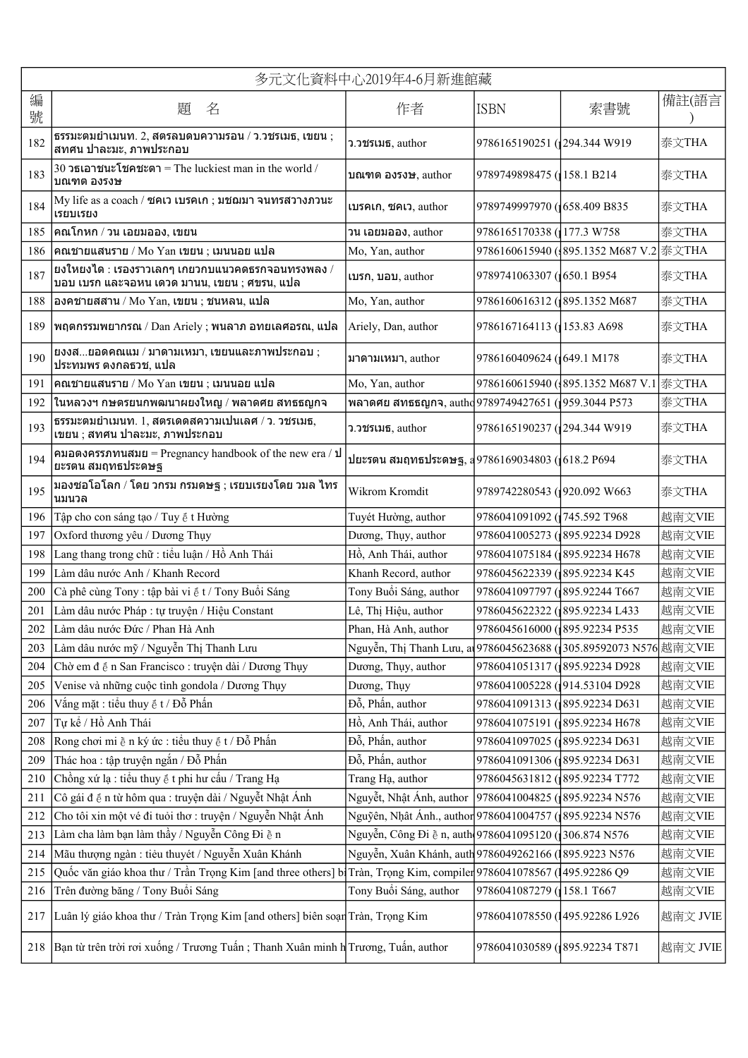|        | 多元文化資料中心2019年4-6月新進館藏                                                                                                |                                                                    |                                 |                                         |          |
|--------|----------------------------------------------------------------------------------------------------------------------|--------------------------------------------------------------------|---------------------------------|-----------------------------------------|----------|
| 編<br>號 | 題<br>名                                                                                                               | 作者                                                                 | <b>ISBN</b>                     | 索書號                                     | 備註(語言    |
| 182    | $553$ มะตมยำเมนท. 2, สตรลบดบความรอน / ว.วชรเมธ, เขยน;<br>ีสทศน ปาละมะ, ภาพประกอบ                                     | ว.วชรเมธ, author                                                   | 9786165190251 (294.344 W919     |                                         | 泰文THA    |
| 183    | 30 วธเอาชนะโชคชะตา = The luckiest man in the world /<br>บณฑต องรงษ                                                   | บณฑต องรงษ, author                                                 | 9789749898475 (158.1 B214       |                                         | 泰文THA    |
| 184    | My life as a coach / ซคเว เบรคเก ; มชฌมา จนทรสวางภวนะ<br>เรยบเรยง                                                    | เบรคเก, ซคเว, author                                               | 9789749997970 (1658.409 B835    |                                         | 泰文THA    |
| 185    | คณโกหก / วน เอยมออง, เขยน                                                                                            | วน เอยมออง, author                                                 | 9786165170338 (177.3 W758)      |                                         | 泰文THA    |
| 186    | คณชายแสนราย / Mo Yan เขยน ; เมนนอย แปล                                                                               | Mo, Yan, author                                                    |                                 | 9786160615940 ({895.1352 M687 V.2 泰文THA |          |
| 187    | ียงใหยงได : เรองราวเลกๆ เกยวกบแนวคดธรกจอนทรงพลง /<br>บอบ เบรก และจอหน เดวด มานน, เขยน ; ศขรน, แปล                    | เบรก, บอบ, author                                                  | 9789741063307 (650.1 B954       |                                         | 泰文THA    |
| 188    | องคชายสสาน / Mo Yan, เขยน ; ชนหลน, แปล                                                                               | Mo, Yan, author                                                    | 9786160616312 (895.1352 M687    |                                         | 泰文THA    |
| 189    | พฤตกรรมพยากรณ / Dan Ariely ; พนลาภ อทยเลศอรณ, แปล                                                                    | Ariely, Dan, author                                                | 9786167164113 (153.83 A698)     |                                         | 泰文THA    |
| 190    | ยงงสยอดคณแม / มาดามเหมา, เขยนและภาพประกอบ ;<br>ประทมพร ดงกลธวช, แปล                                                  | มาดามเหมา. author                                                  | 9786160409624 (1649.1 M178)     |                                         | 泰文THA    |
| 191    | คณชายแสนราย / Mo Yan เขยน ; เมนนอย แปล                                                                               | Mo, Yan, author                                                    |                                 | 9786160615940 (395.1352 M687 V.1 泰文THA  |          |
| 192    | ในหลวงฯ กษตรยนกพฒนาผยงใหญ / พลาดศย สทธธญกจ                                                                           | พลาดศย สทธธญกจ, autho 9789749427651 (1959.3044 P573                |                                 |                                         | 泰文THA    |
| 193    | ธรรมะตมยำเมนท. 1, สตรเดดสความเปนเลศ / ว. วชรเมธ,<br>เขยน ; สทศน ปาละมะ, ภาพประกอบ                                    | ว.วชรเมธ, author                                                   | 9786165190237 (294.344 W919)    |                                         | 泰文THA    |
| 194    | คมอดงครรภทนสมย = Pregnancy handbook of the new era / ป<br>ยะรดน สมฤทธประดษฐ                                          | ปยะรดน สมฤทธประดษฐ, ส9786169034803 (1618.2 P694                    |                                 |                                         | 泰文THA    |
| 195    | มองซอโอโลก / โดย วกรม กรมดษฐ ; เรยบเรยงโดย วมล ไทร<br>นมนวล                                                          | Wikrom Kromdit                                                     | 9789742280543 (1920.092 W663    |                                         | 泰文THA    |
| 196    | Tập cho con sáng tạo / Tuy ể t Hường                                                                                 | Tuyét Hường, author                                                | 9786041091092 (1745.592 T968    |                                         | 越南文VIE   |
| 197    | Oxford thương yêu / Dương Thụy                                                                                       | Dương, Thụy, author                                                | 9786041005273 (895.92234 D928   |                                         | 越南文VIE   |
| 198    | Lang thang trong chữ : tiểu luận / Hồ Anh Thái                                                                       | Hồ, Anh Thái, author                                               | 9786041075184 (895.92234 H678)  |                                         | 越南文VIE   |
| 199    | Làm dâu nước Anh / Khanh Record                                                                                      | Khanh Record, author                                               | 9786045622339 (1895.92234 K45)  |                                         | 越南文VIE   |
| 200    | Cà phê cùng Tony : tập bài vi ể t / Tony Buổi Sáng                                                                   | Tony Buổi Sáng, author                                             | 9786041097797 (1895.92244 T667  |                                         | 越南文VIE   |
| 201    | Làm dâu nước Pháp : tự truyện / Hiệu Constant                                                                        | Lê, Thị Hiệu, author                                               | 9786045622322 (895.92234 L433   |                                         | 越南文VIE   |
| 202    | Làm dâu nước Đức / Phan Hà Anh                                                                                       | Phan, Hà Anh, author                                               | 9786045616000 (895.92234 P535   |                                         | 越南文VIE   |
| 203    | Làm dâu nước mỹ / Nguyễn Thị Thanh Lưu                                                                               | Nguyễn, Thị Thanh Lưu, at 9786045623688 (1305.89592073 N576 越南文VIE |                                 |                                         |          |
| 204    | Chờ em đế n San Francisco : truyện dài / Dương Thụy                                                                  | Dương, Thụy, author                                                | 9786041051317 (1895.92234 D928) |                                         | 越南文VIE   |
| 205    | Venise và những cuộc tình gondola / Dương Thụy                                                                       | Dương, Thụy                                                        | 9786041005228 (914.53104 D928)  |                                         | 越南文VIE   |
| 206    | Vắng mặt : tiểu thuy ể t / Đỗ Phấn                                                                                   | Đỗ, Phần, author                                                   | 9786041091313 (895.92234 D631   |                                         | 越南文VIE   |
| 207    | Tự kể / Hồ Anh Thái                                                                                                  | Hồ, Anh Thái, author                                               | 9786041075191 (895.92234 H678)  |                                         | 越南文VIE   |
| 208    | Rong chơi mi ề n ký ức : tiểu thuy ể t / Đỗ Phấn                                                                     | Đỗ, Phần, author                                                   | 9786041097025 (895.92234 D631   |                                         | 越南文VIE   |
| 209    | Thác hoa : tập truyện ngắn / Đỗ Phấn                                                                                 | Đỗ, Phân, author                                                   | 9786041091306 (895.92234 D631   |                                         | 越南文VIE   |
| 210    | Chồng xứ lạ : tiểu thuy ể t phi hư cấu / Trang Hạ                                                                    | Trang Hạ, author                                                   | 9786045631812 (895.92234 T772   |                                         | 越南文VIE   |
| 211    | Cô gái để n từ hôm qua : truyện dài / Nguyễt Nhật Ánh                                                                | Nguyễt, Nhật Ánh, author                                           | 9786041004825 (895.92234 N576   |                                         | 越南文VIE   |
| 212    | Cho tôi xin một vé đi tuỏi thơ: truyện / Nguyễn Nhật Ánh                                                             | Nguỹên, Nhật Ánh., author 9786041004757 (1895.92234 N576           |                                 |                                         | 越南文VIE   |
| 213    | Làm cha làm bạn làm thầy / Nguyễn Công Đi ề n                                                                        | Nguyễn, Công Đi ề n, auth 9786041095120 (306.874 N576              |                                 |                                         | 越南文VIE   |
| 214    | Mãu thượng ngàn : tiêu thuyét / Nguyễn Xuân Khánh                                                                    | Nguyễn, Xuân Khánh, auth 9786049262166 (1895.9223 N576             |                                 |                                         | 越南文VIE   |
| 215    | Quốc văn giáo khoa thư / Trần Trọng Kim [and three others] b] Tràn, Trọng Kim, compiler 9786041078567 (1495.92286 Q9 |                                                                    |                                 |                                         | 越南文VIE   |
| 216    | Trên đường băng / Tony Buổi Sáng                                                                                     | Tony Buổi Sáng, author                                             | 9786041087279 (158.1 T667       |                                         | 越南文VIE   |
| 217    | Luân lý giáo khoa thư / Tràn Trọng Kim [and others] biên soạn Tràn, Trọng Kim                                        |                                                                    | 9786041078550 (1495.92286 L926  |                                         | 越南文 JVIE |
| 218    | Bạn từ trên trời rơi xuống / Trương Tuấn ; Thanh Xuân minh h Trương, Tuấn, author                                    |                                                                    | 9786041030589 (895.92234 T871   |                                         | 越南文 JVIE |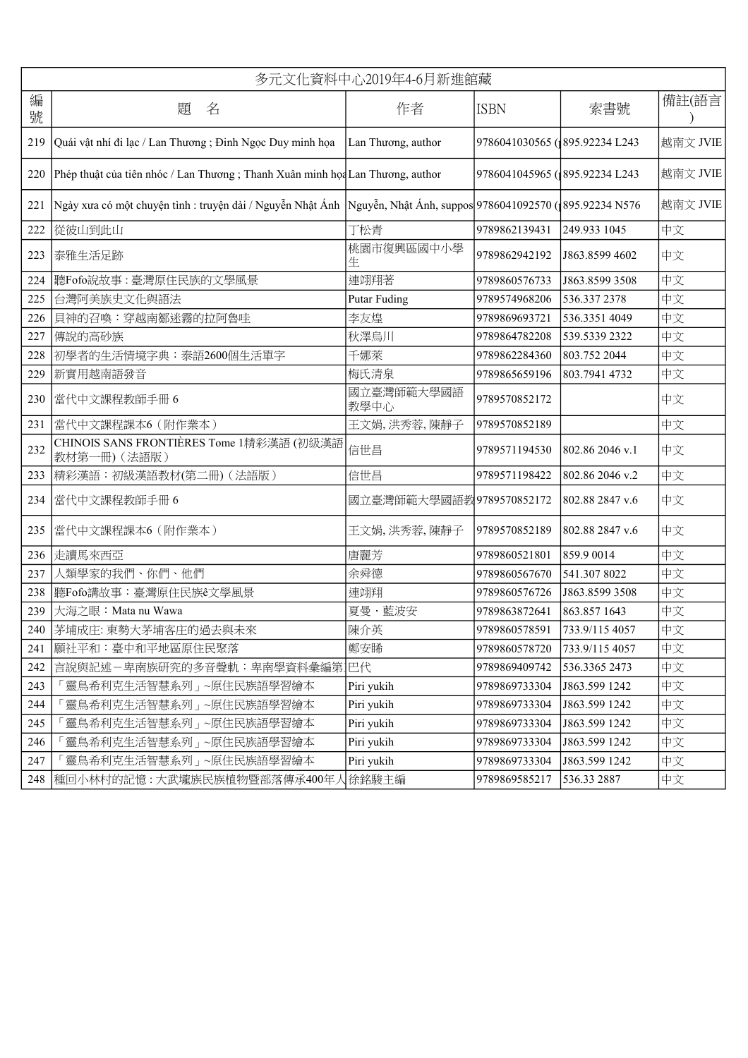|        | 多元文化資料中心2019年4-6月新進館藏                                                                                                |                          |                               |                 |          |  |
|--------|----------------------------------------------------------------------------------------------------------------------|--------------------------|-------------------------------|-----------------|----------|--|
| 編<br>號 | 題<br>名                                                                                                               | 作者                       | <b>ISBN</b>                   | 索書號             | 備註(語言    |  |
| 219    | Quái vật nhí đi lạc / Lan Thương ; Đinh Ngọc Duy minh họa                                                            | Lan Thương, author       | 9786041030565 (895.92234 L243 |                 | 越南文 JVIE |  |
| 220    | Phép thuật của tiên nhóc / Lan Thương ; Thanh Xuân minh họa Lan Thương, author                                       |                          | 9786041045965 (895.92234 L243 |                 | 越南文 JVIE |  |
| 221    | Ngày xưa có một chuyện tình : truyện dài / Nguyễn Nhật Ánh   Nguyễn, Nhật Ánh, suppos 9786041092570 (1895.92234 N576 |                          |                               |                 | 越南文 JVIE |  |
| 222    | 從彼山到此山                                                                                                               | 丁松青                      | 9789862139431                 | 249.933 1045    | 中文       |  |
| 223    | 泰雅生活足跡                                                                                                               | 桃園市復興區國中小學<br>生          | 9789862942192                 | J863.8599 4602  | 中文       |  |
| 224    | 聽Fofo說故事:臺灣原住民族的文學風景                                                                                                 | 連翊翔著                     | 9789860576733                 | J863.8599 3508  | 中文       |  |
| 225    | 台灣阿美族史文化與語法                                                                                                          | <b>Putar Fuding</b>      | 9789574968206                 | 536.337 2378    | 中文       |  |
| 226    | 貝神的召喚:穿越南鄒迷霧的拉阿魯哇                                                                                                    | 李友煌                      | 9789869693721                 | 536.3351 4049   | 中文       |  |
| 227    | 傳說的高砂族                                                                                                               | 秋澤烏川                     | 9789864782208                 | 539.5339 2322   | 中文       |  |
| 228    | 初學者的生活情境字典:泰語2600個生活單字                                                                                               | 千娜萊                      | 9789862284360                 | 803.752 2044    | 中文       |  |
| 229    | 新實用越南語發音                                                                                                             | 梅氏清泉                     | 9789865659196                 | 803.7941 4732   | 中文       |  |
| 230    | 當代中文課程教師手冊6                                                                                                          | 國立臺灣師範大學國語<br>教學中心       | 9789570852172                 |                 | 中文       |  |
| 231    | 當代中文課程課本6 (附作業本)                                                                                                     | 王文娟,洪秀蓉,陳靜子              | 9789570852189                 |                 | 中文       |  |
| 232    | CHINOIS SANS FRONTIÈRES Tome 1精彩漢語 (初級漢語<br>教材第一冊)(法語版)                                                              | 信世昌                      | 9789571194530                 | 802.86 2046 v.1 | 中文       |  |
| 233    | 精彩漢語:初級漢語教材(第二冊)(法語版)                                                                                                | 信世昌                      | 9789571198422                 | 802.86 2046 v.2 | 中文       |  |
| 234    | 當代中文課程教師手冊6                                                                                                          | 國立臺灣師範大學國語教9789570852172 |                               | 802.88 2847 v.6 | 中文       |  |
| 235    | 當代中文課程課本6 (附作業本)                                                                                                     | 王文娟,洪秀蓉,陳靜子              | 9789570852189                 | 802.88 2847 v.6 | 中文       |  |
| 236    | 走讀馬來西亞                                                                                                               | 唐麗芳                      | 9789860521801                 | 859.9 0014      | 中文       |  |
| 237    | 人類學家的我們、你們、他們                                                                                                        | 余舜德                      | 9789860567670                 | 541.307 8022    | 中文       |  |
| 238    | 聽Fofo講故事:臺灣原住民族ê文學風景                                                                                                 | 連翊翔                      | 9789860576726                 | J863.8599 3508  | 中文       |  |
| 239    | 大海之眼: Mata nu Wawa                                                                                                   | 夏曼·藍波安                   | 9789863872641                 | 863.857 1643    | 中文       |  |
| 240    | 茅埔成庄: 東勢大茅埔客庄的過去與未來                                                                                                  | 陳介英                      | 9789860578591                 | 733.9/115 4057  | 中文       |  |
| 241    | 願社平和:臺中和平地區原住民聚落                                                                                                     | 鄭安睎                      | 9789860578720                 | 733.9/115 4057  | 中文       |  |
| 242    | 言說與記述-卑南族研究的多音聲軌:卑南學資料彙編第.                                                                                           | 巴代                       | 9789869409742                 | 536.3365 2473   | 中文       |  |
| 243    | 「靈鳥希利克生活智慧系列」~原住民族語學習繪本                                                                                              | Piri yukih               | 9789869733304                 | J863.599 1242   | 中文       |  |
| 244    | 靈鳥希利克生活智慧系列」 ~原住民族語學習繪本                                                                                              | Piri yukih               | 9789869733304                 | J863.599 1242   | 中文       |  |
| 245    | 「靈鳥希利克生活智慧系列」~原住民族語學習繪本                                                                                              | Piri yukih               | 9789869733304                 | J863.599 1242   | 中文       |  |
| 246    | 靈鳥希利克生活智慧系列」~原住民族語學習繪本                                                                                               | Piri yukih               | 9789869733304                 | J863.599 1242   | 中文       |  |
| 247    | 靈鳥希利克生活智慧系列」 ~原住民族語學習繪本                                                                                              | Piri yukih               | 9789869733304                 | J863.599 1242   | 中文       |  |
| 248    | 種回小林村的記憶 : 大武壠族民族植物暨部落傳承400年人                                                                                        | 徐銘駿主編                    | 9789869585217                 | 536.33 2887     | 中文       |  |